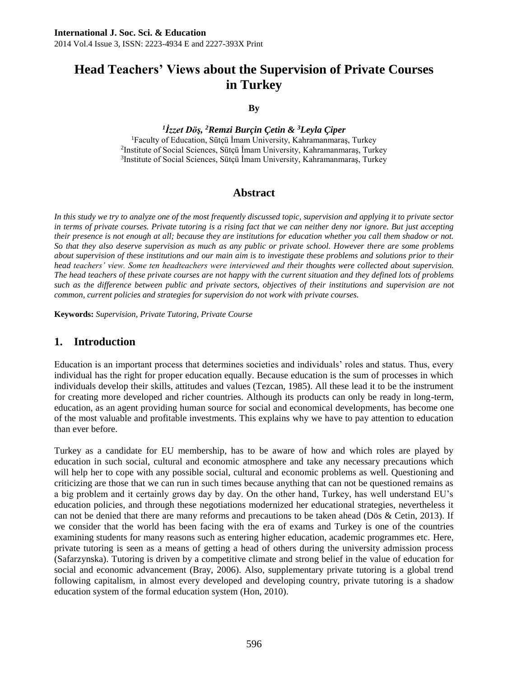# **Head Teachers' Views about the Supervision of Private Courses in Turkey**

#### **By**

*1 İzzet Döş, <sup>2</sup>Remzi Burçin Çetin & <sup>3</sup>Leyla Çiper*

<sup>1</sup>Faculty of Education, Sütçü İmam University, Kahramanmaraş, Turkey 2 Institute of Social Sciences, Sütçü İmam University, Kahramanmaraş, Turkey 3 Institute of Social Sciences, Sütçü İmam University, Kahramanmaraş, Turkey

## **Abstract**

*In this study we try to analyze one of the most frequently discussed topic, supervision and applying it to private sector in terms of private courses. Private tutoring is a rising fact that we can neither deny nor ignore. But just accepting their presence is not enough at all; because they are institutions for education whether you call them shadow or not. So that they also deserve supervision as much as any public or private school. However there are some problems about supervision of these institutions and our main aim is to investigate these problems and solutions prior to their head teachers' view. Some ten headteachers were interviewed and their thoughts were collected about supervision. The head teachers of these private courses are not happy with the current situation and they defined lots of problems such as the difference between public and private sectors, objectives of their institutions and supervision are not common, current policies and strategies for supervision do not work with private courses.* 

**Keywords:** *Supervision, Private Tutoring, Private Course*

#### **1. Introduction**

Education is an important process that determines societies and individuals' roles and status. Thus, every individual has the right for proper education equally. Because education is the sum of processes in which individuals develop their skills, attitudes and values (Tezcan, 1985). All these lead it to be the instrument for creating more developed and richer countries. Although its products can only be ready in long-term, education, as an agent providing human source for social and economical developments, has become one of the most valuable and profitable investments. This explains why we have to pay attention to education than ever before.

Turkey as a candidate for EU membership, has to be aware of how and which roles are played by education in such social, cultural and economic atmosphere and take any necessary precautions which will help her to cope with any possible social, cultural and economic problems as well. Questioning and criticizing are those that we can run in such times because anything that can not be questioned remains as a big problem and it certainly grows day by day. On the other hand, Turkey, has well understand EU's education policies, and through these negotiations modernized her educational strategies, nevertheless it can not be denied that there are many reforms and precautions to be taken ahead (Dös & Cetin, 2013). If we consider that the world has been facing with the era of exams and Turkey is one of the countries examining students for many reasons such as entering higher education, academic programmes etc. Here, private tutoring is seen as a means of getting a head of others during the university admission process (Safarzynska). Tutoring is driven by a competitive climate and strong belief in the value of education for social and economic advancement (Bray, 2006). Also, supplementary private tutoring is a global trend following capitalism, in almost every developed and developing country, private tutoring is a shadow education system of the formal education system (Hon, 2010).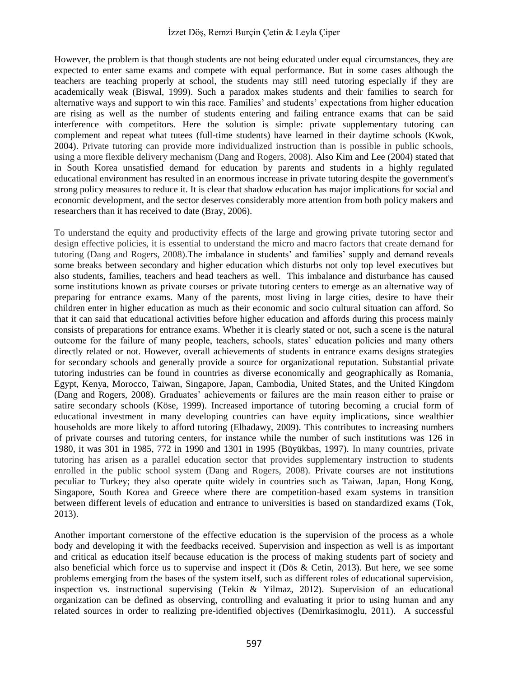However, the problem is that though students are not being educated under equal circumstances, they are expected to enter same exams and compete with equal performance. But in some cases although the teachers are teaching properly at school, the students may still need tutoring especially if they are academically weak (Biswal, 1999). Such a paradox makes students and their families to search for alternative ways and support to win this race. Families' and students' expectations from higher education are rising as well as the number of students entering and failing entrance exams that can be said interference with competitors. Here the solution is simple: private supplementary tutoring can complement and repeat what tutees (full-time students) have learned in their daytime schools (Kwok, 2004). Private tutoring can provide more individualized instruction than is possible in public schools, using a more flexible delivery mechanism (Dang and Rogers, 2008). Also Kim and Lee (2004) stated that in South Korea unsatisfied demand for education by parents and students in a highly regulated educational environment has resulted in an enormous increase in private tutoring despite the government's strong policy measures to reduce it. It is clear that shadow education has major implications for social and economic development, and the sector deserves considerably more attention from both policy makers and researchers than it has received to date (Bray, 2006).

To understand the equity and productivity effects of the large and growing private tutoring sector and design effective policies, it is essential to understand the micro and macro factors that create demand for tutoring (Dang and Rogers, 2008).The imbalance in students' and families' supply and demand reveals some breaks between secondary and higher education which disturbs not only top level executives but also students, families, teachers and head teachers as well. This imbalance and disturbance has caused some institutions known as private courses or private tutoring centers to emerge as an alternative way of preparing for entrance exams. Many of the parents, most living in large cities, desire to have their children enter in higher education as much as their economic and socio cultural situation can afford. So that it can said that educational activities before higher education and affords during this process mainly consists of preparations for entrance exams. Whether it is clearly stated or not, such a scene is the natural outcome for the failure of many people, teachers, schools, states' education policies and many others directly related or not. However, overall achievements of students in entrance exams designs strategies for secondary schools and generally provide a source for organizational reputation. Substantial private tutoring industries can be found in countries as diverse economically and geographically as Romania, Egypt, Kenya, Morocco, Taiwan, Singapore, Japan, Cambodia, United States, and the United Kingdom (Dang and Rogers, 2008). Graduates' achievements or failures are the main reason either to praise or satire secondary schools (Köse, 1999). Increased importance of tutoring becoming a crucial form of educational investment in many developing countries can have equity implications, since wealthier households are more likely to afford tutoring (Elbadawy, 2009). This contributes to increasing numbers of private courses and tutoring centers, for instance while the number of such institutions was 126 in 1980, it was 301 in 1985, 772 in 1990 and 1301 in 1995 (Büyükbas, 1997). In many countries, private tutoring has arisen as a parallel education sector that provides supplementary instruction to students enrolled in the public school system (Dang and Rogers, 2008). Private courses are not institutions peculiar to Turkey; they also operate quite widely in countries such as Taiwan, Japan, Hong Kong, Singapore, South Korea and Greece where there are competition-based exam systems in transition between different levels of education and entrance to universities is based on standardized exams (Tok, 2013).

Another important cornerstone of the effective education is the supervision of the process as a whole body and developing it with the feedbacks received. Supervision and inspection as well is as important and critical as education itself because education is the process of making students part of society and also beneficial which force us to supervise and inspect it (Dös & Cetin, 2013). But here, we see some problems emerging from the bases of the system itself, such as different roles of educational supervision, inspection vs. instructional supervising (Tekin & Yilmaz, 2012). Supervision of an educational organization can be defined as observing, controlling and evaluating it prior to using human and any related sources in order to realizing pre-identified objectives (Demirkasimoglu, 2011). A successful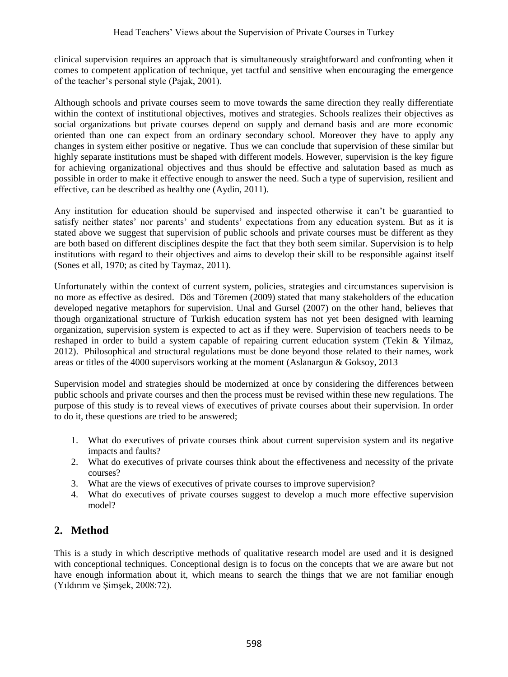clinical supervision requires an approach that is simultaneously straightforward and confronting when it comes to competent application of technique, yet tactful and sensitive when encouraging the emergence of the teacher's personal style (Pajak, 2001).

Although schools and private courses seem to move towards the same direction they really differentiate within the context of institutional objectives, motives and strategies. Schools realizes their objectives as social organizations but private courses depend on supply and demand basis and are more economic oriented than one can expect from an ordinary secondary school. Moreover they have to apply any changes in system either positive or negative. Thus we can conclude that supervision of these similar but highly separate institutions must be shaped with different models. However, supervision is the key figure for achieving organizational objectives and thus should be effective and salutation based as much as possible in order to make it effective enough to answer the need. Such a type of supervision, resilient and effective, can be described as healthy one (Aydin, 2011).

Any institution for education should be supervised and inspected otherwise it can't be guarantied to satisfy neither states' nor parents' and students' expectations from any education system. But as it is stated above we suggest that supervision of public schools and private courses must be different as they are both based on different disciplines despite the fact that they both seem similar. Supervision is to help institutions with regard to their objectives and aims to develop their skill to be responsible against itself (Sones et all, 1970; as cited by Taymaz, 2011).

Unfortunately within the context of current system, policies, strategies and circumstances supervision is no more as effective as desired. Dös and Töremen (2009) stated that many stakeholders of the education developed negative metaphors for supervision. Unal and Gursel (2007) on the other hand, believes that though organizational structure of Turkish education system has not yet been designed with learning organization, supervision system is expected to act as if they were. Supervision of teachers needs to be reshaped in order to build a system capable of repairing current education system (Tekin & Yilmaz, 2012). Philosophical and structural regulations must be done beyond those related to their names, work areas or titles of the 4000 supervisors working at the moment (Aslanargun & Goksoy, 2013

Supervision model and strategies should be modernized at once by considering the differences between public schools and private courses and then the process must be revised within these new regulations. The purpose of this study is to reveal views of executives of private courses about their supervision. In order to do it, these questions are tried to be answered;

- 1. What do executives of private courses think about current supervision system and its negative impacts and faults?
- 2. What do executives of private courses think about the effectiveness and necessity of the private courses?
- 3. What are the views of executives of private courses to improve supervision?
- 4. What do executives of private courses suggest to develop a much more effective supervision model?

# **2. Method**

This is a study in which descriptive methods of qualitative research model are used and it is designed with conceptional techniques. Conceptional design is to focus on the concepts that we are aware but not have enough information about it, which means to search the things that we are not familiar enough (Yıldırım ve Şimşek, 2008:72).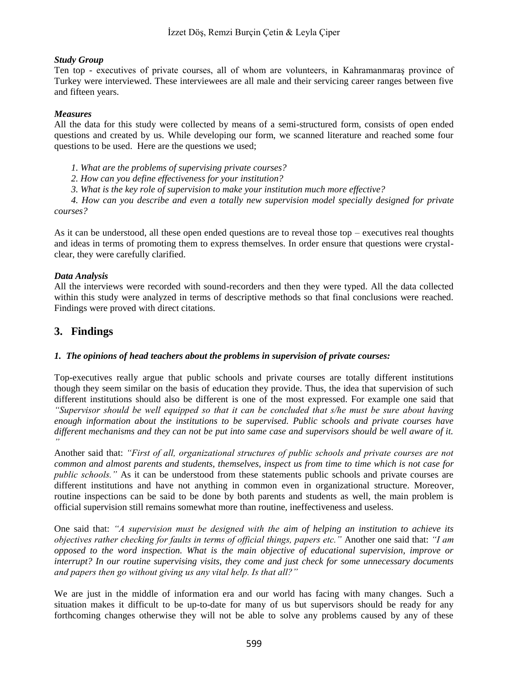#### *Study Group*

Ten top - executives of private courses, all of whom are volunteers, in Kahramanmaraş province of Turkey were interviewed. These interviewees are all male and their servicing career ranges between five and fifteen years.

#### *Measures*

All the data for this study were collected by means of a semi-structured form, consists of open ended questions and created by us. While developing our form, we scanned literature and reached some four questions to be used. Here are the questions we used;

*1. What are the problems of supervising private courses?* 

*2. How can you define effectiveness for your institution?* 

*3. What is the key role of supervision to make your institution much more effective?* 

*4. How can you describe and even a totally new supervision model specially designed for private courses?*

As it can be understood, all these open ended questions are to reveal those top – executives real thoughts and ideas in terms of promoting them to express themselves. In order ensure that questions were crystalclear, they were carefully clarified.

#### *Data Analysis*

All the interviews were recorded with sound-recorders and then they were typed. All the data collected within this study were analyzed in terms of descriptive methods so that final conclusions were reached. Findings were proved with direct citations.

## **3. Findings**

#### *1. The opinions of head teachers about the problems in supervision of private courses:*

Top-executives really argue that public schools and private courses are totally different institutions though they seem similar on the basis of education they provide. Thus, the idea that supervision of such different institutions should also be different is one of the most expressed. For example one said that *"Supervisor should be well equipped so that it can be concluded that s/he must be sure about having enough information about the institutions to be supervised. Public schools and private courses have different mechanisms and they can not be put into same case and supervisors should be well aware of it. "*

Another said that: *"First of all, organizational structures of public schools and private courses are not common and almost parents and students, themselves, inspect us from time to time which is not case for public schools."* As it can be understood from these statements public schools and private courses are different institutions and have not anything in common even in organizational structure. Moreover, routine inspections can be said to be done by both parents and students as well, the main problem is official supervision still remains somewhat more than routine, ineffectiveness and useless.

One said that: *"A supervision must be designed with the aim of helping an institution to achieve its objectives rather checking for faults in terms of official things, papers etc."* Another one said that: *"I am opposed to the word inspection. What is the main objective of educational supervision, improve or interrupt? In our routine supervising visits, they come and just check for some unnecessary documents and papers then go without giving us any vital help. Is that all?"* 

We are just in the middle of information era and our world has facing with many changes. Such a situation makes it difficult to be up-to-date for many of us but supervisors should be ready for any forthcoming changes otherwise they will not be able to solve any problems caused by any of these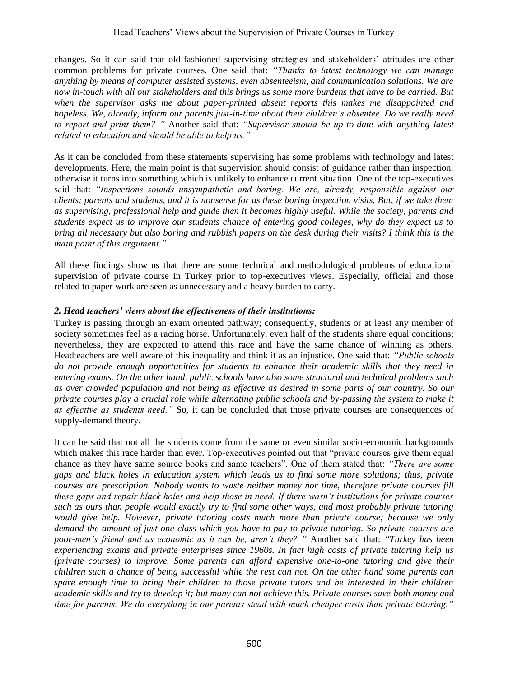changes. So it can said that old-fashioned supervising strategies and stakeholders' attitudes are other common problems for private courses. One said that: *"Thanks to latest technology we can manage anything by means of computer assisted systems, even absenteeism, and communication solutions. We are now in-touch with all our stakeholders and this brings us some more burdens that have to be carried. But when the supervisor asks me about paper-printed absent reports this makes me disappointed and hopeless. We, already, inform our parents just-in-time about their children's absentee. Do we really need to report and print them? "* Another said that: *"Supervisor should be up-to-date with anything latest related to education and should be able to help us."*

As it can be concluded from these statements supervising has some problems with technology and latest developments. Here, the main point is that supervision should consist of guidance rather than inspection, otherwise it turns into something which is unlikely to enhance current situation. One of the top-executives said that: *"Inspections sounds unsympathetic and boring. We are, already, responsible against our clients; parents and students, and it is nonsense for us these boring inspection visits. But, if we take them as supervising, professional help and guide then it becomes highly useful. While the society, parents and students expect us to improve our students chance of entering good colleges, why do they expect us to bring all necessary but also boring and rubbish papers on the desk during their visits? I think this is the main point of this argument."* 

All these findings show us that there are some technical and methodological problems of educational supervision of private course in Turkey prior to top-executives views. Especially, official and those related to paper work are seen as unnecessary and a heavy burden to carry.

#### *2. Head teachers' views about the effectiveness of their institutions:*

Turkey is passing through an exam oriented pathway; consequently, students or at least any member of society sometimes feel as a racing horse. Unfortunately, even half of the students share equal conditions; nevertheless, they are expected to attend this race and have the same chance of winning as others. Headteachers are well aware of this inequality and think it as an injustice. One said that: *"Public schools do not provide enough opportunities for students to enhance their academic skills that they need in entering exams. On the other hand, public schools have also some structural and technical problems such as over crowded population and not being as effective as desired in some parts of our country. So our private courses play a crucial role while alternating public schools and by-passing the system to make it as effective as students need."* So, it can be concluded that those private courses are consequences of supply-demand theory.

It can be said that not all the students come from the same or even similar socio-economic backgrounds which makes this race harder than ever. Top-executives pointed out that "private courses give them equal chance as they have same source books and same teachers". One of them stated that: *"There are some gaps and black holes in education system which leads us to find some more solutions; thus, private courses are prescription. Nobody wants to waste neither money nor time, therefore private courses fill these gaps and repair black holes and help those in need. If there wasn't institutions for private courses such as ours than people would exactly try to find some other ways, and most probably private tutoring would give help. However, private tutoring costs much more than private course; because we only demand the amount of just one class which you have to pay to private tutoring. So private courses are poor-men's friend and as economic as it can be, aren't they? "* Another said that: *"Turkey has been experiencing exams and private enterprises since 1960s. In fact high costs of private tutoring help us (private courses) to improve. Some parents can afford expensive one-to-one tutoring and give their children such a chance of being successful while the rest can not. On the other hand some parents can spare enough time to bring their children to those private tutors and be interested in their children academic skills and try to develop it; but many can not achieve this. Private courses save both money and time for parents. We do everything in our parents stead with much cheaper costs than private tutoring."*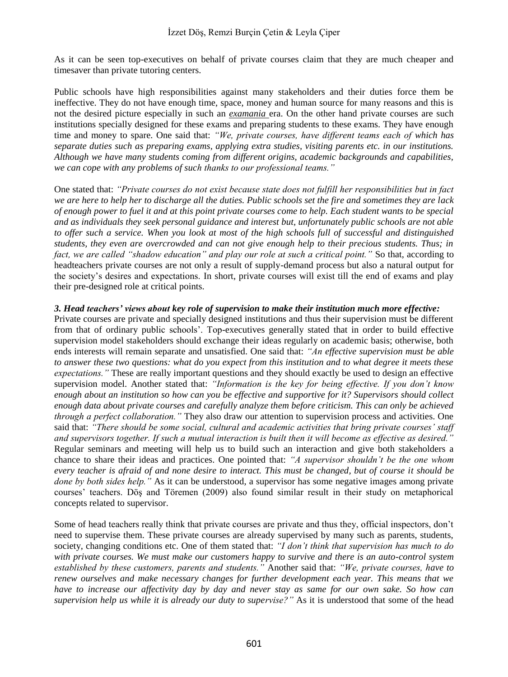As it can be seen top-executives on behalf of private courses claim that they are much cheaper and timesaver than private tutoring centers.

Public schools have high responsibilities against many stakeholders and their duties force them be ineffective. They do not have enough time, space, money and human source for many reasons and this is not the desired picture especially in such an *examania* era. On the other hand private courses are such institutions specially designed for these exams and preparing students to these exams. They have enough time and money to spare. One said that: *"We, private courses, have different teams each of which has separate duties such as preparing exams, applying extra studies, visiting parents etc. in our institutions. Although we have many students coming from different origins, academic backgrounds and capabilities, we can cope with any problems of such thanks to our professional teams."*

One stated that: *"Private courses do not exist because state does not fulfill her responsibilities but in fact we are here to help her to discharge all the duties. Public schools set the fire and sometimes they are lack of enough power to fuel it and at this point private courses come to help. Each student wants to be special and as individuals they seek personal guidance and interest but, unfortunately public schools are not able to offer such a service. When you look at most of the high schools full of successful and distinguished students, they even are overcrowded and can not give enough help to their precious students. Thus; in*  fact, we are called "shadow education" and play our role at such a critical point." So that, according to headteachers private courses are not only a result of supply-demand process but also a natural output for the society's desires and expectations. In short, private courses will exist till the end of exams and play their pre-designed role at critical points.

#### *3. Head teachers' views about key role of supervision to make their institution much more effective:*

Private courses are private and specially designed institutions and thus their supervision must be different from that of ordinary public schools'. Top-executives generally stated that in order to build effective supervision model stakeholders should exchange their ideas regularly on academic basis; otherwise, both ends interests will remain separate and unsatisfied. One said that: *"An effective supervision must be able to answer these two questions: what do you expect from this institution and to what degree it meets these expectations."* These are really important questions and they should exactly be used to design an effective supervision model. Another stated that: *"Information is the key for being effective. If you don't know enough about an institution so how can you be effective and supportive for it? Supervisors should collect enough data about private courses and carefully analyze them before criticism. This can only be achieved through a perfect collaboration."* They also draw our attention to supervision process and activities. One said that: *"There should be some social, cultural and academic activities that bring private courses' staff and supervisors together. If such a mutual interaction is built then it will become as effective as desired."*  Regular seminars and meeting will help us to build such an interaction and give both stakeholders a chance to share their ideas and practices. One pointed that: *"A supervisor shouldn't be the one whom every teacher is afraid of and none desire to interact. This must be changed, but of course it should be done by both sides help."* As it can be understood, a supervisor has some negative images among private courses' teachers. Döş and Töremen (2009) also found similar result in their study on metaphorical concepts related to supervisor.

Some of head teachers really think that private courses are private and thus they, official inspectors, don't need to supervise them. These private courses are already supervised by many such as parents, students, society, changing conditions etc. One of them stated that: *"I don't think that supervision has much to do with private courses. We must make our customers happy to survive and there is an auto-control system established by these customers, parents and students."* Another said that: *"We, private courses, have to renew ourselves and make necessary changes for further development each year. This means that we have to increase our affectivity day by day and never stay as same for our own sake. So how can supervision help us while it is already our duty to supervise?"* As it is understood that some of the head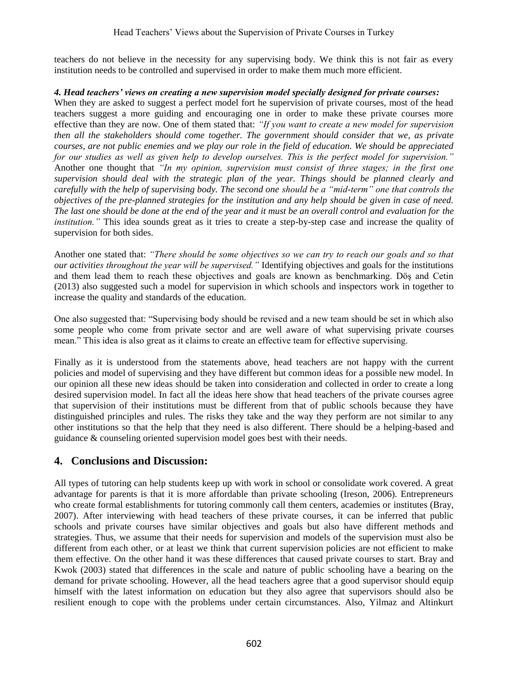teachers do not believe in the necessity for any supervising body. We think this is not fair as every institution needs to be controlled and supervised in order to make them much more efficient.

#### *4. Head teachers' views on creating a new supervision model specially designed for private courses:*

When they are asked to suggest a perfect model fort he supervision of private courses, most of the head teachers suggest a more guiding and encouraging one in order to make these private courses more effective than they are now. One of them stated that: *"If you want to create a new model for supervision then all the stakeholders should come together. The government should consider that we, as private courses, are not public enemies and we play our role in the field of education. We should be appreciated for our studies as well as given help to develop ourselves. This is the perfect model for supervision."* Another one thought that *"In my opinion, supervision must consist of three stages; in the first one supervision should deal with the strategic plan of the year. Things should be planned clearly and carefully with the help of supervising body. The second one should be a "mid-term" one that controls the objectives of the pre-planned strategies for the institution and any help should be given in case of need. The last one should be done at the end of the year and it must be an overall control and evaluation for the institution."* This idea sounds great as it tries to create a step-by-step case and increase the quality of supervision for both sides.

Another one stated that: *"There should be some objectives so we can try to reach our goals and so that our activities throughout the year will be supervised."* Identifying objectives and goals for the institutions and them lead them to reach these objectives and goals are known as benchmarking. Döş and Cetin (2013) also suggested such a model for supervision in which schools and inspectors work in together to increase the quality and standards of the education.

One also suggested that: "Supervising body should be revised and a new team should be set in which also some people who come from private sector and are well aware of what supervising private courses mean." This idea is also great as it claims to create an effective team for effective supervising.

Finally as it is understood from the statements above, head teachers are not happy with the current policies and model of supervising and they have different but common ideas for a possible new model. In our opinion all these new ideas should be taken into consideration and collected in order to create a long desired supervision model. In fact all the ideas here show that head teachers of the private courses agree that supervision of their institutions must be different from that of public schools because they have distinguished principles and rules. The risks they take and the way they perform are not similar to any other institutions so that the help that they need is also different. There should be a helping-based and guidance & counseling oriented supervision model goes best with their needs.

# **4. Conclusions and Discussion:**

All types of tutoring can help students keep up with work in school or consolidate work covered. A great advantage for parents is that it is more affordable than private schooling (Ireson, 2006). Entrepreneurs who create formal establishments for tutoring commonly call them centers, academies or institutes (Bray, 2007). After interviewing with head teachers of these private courses, it can be inferred that public schools and private courses have similar objectives and goals but also have different methods and strategies. Thus, we assume that their needs for supervision and models of the supervision must also be different from each other, or at least we think that current supervision policies are not efficient to make them effective. On the other hand it was these differences that caused private courses to start. Bray and Kwok (2003) stated that differences in the scale and nature of public schooling have a bearing on the demand for private schooling. However, all the head teachers agree that a good supervisor should equip himself with the latest information on education but they also agree that supervisors should also be resilient enough to cope with the problems under certain circumstances. Also, Yilmaz and Altinkurt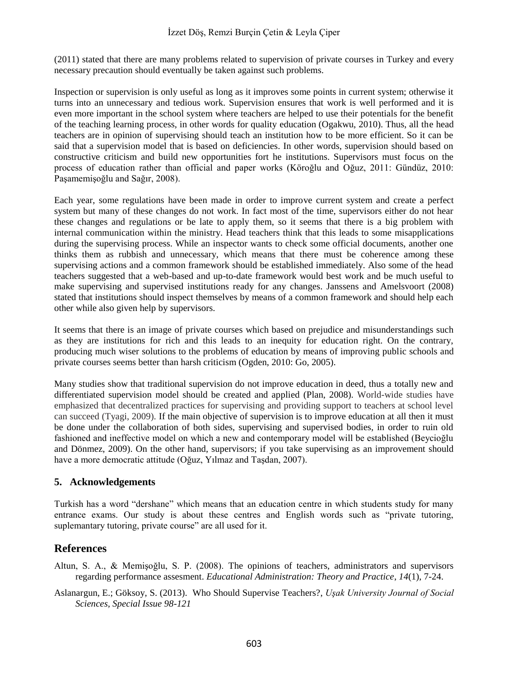#### İzzet Döş, Remzi Burçin Çetin & Leyla Çiper

(2011) stated that there are many problems related to supervision of private courses in Turkey and every necessary precaution should eventually be taken against such problems.

Inspection or supervision is only useful as long as it improves some points in current system; otherwise it turns into an unnecessary and tedious work. Supervision ensures that work is well performed and it is even more important in the school system where teachers are helped to use their potentials for the benefit of the teaching learning process, in other words for quality education (Ogakwu, 2010). Thus, all the head teachers are in opinion of supervising should teach an institution how to be more efficient. So it can be said that a supervision model that is based on deficiencies. In other words, supervision should based on constructive criticism and build new opportunities fort he institutions. Supervisors must focus on the process of education rather than official and paper works (Köroğlu and Oğuz, 2011: Gündüz, 2010: Paşamemişoğlu and Sağır, 2008).

Each year, some regulations have been made in order to improve current system and create a perfect system but many of these changes do not work. In fact most of the time, supervisors either do not hear these changes and regulations or be late to apply them, so it seems that there is a big problem with internal communication within the ministry. Head teachers think that this leads to some misapplications during the supervising process. While an inspector wants to check some official documents, another one thinks them as rubbish and unnecessary, which means that there must be coherence among these supervising actions and a common framework should be established immediately. Also some of the head teachers suggested that a web-based and up-to-date framework would best work and be much useful to make supervising and supervised institutions ready for any changes. Janssens and Amelsvoort (2008) stated that institutions should inspect themselves by means of a common framework and should help each other while also given help by supervisors.

It seems that there is an image of private courses which based on prejudice and misunderstandings such as they are institutions for rich and this leads to an inequity for education right. On the contrary, producing much wiser solutions to the problems of education by means of improving public schools and private courses seems better than harsh criticism (Ogden, 2010: Go, 2005).

Many studies show that traditional supervision do not improve education in deed, thus a totally new and differentiated supervision model should be created and applied (Plan, 2008). World-wide studies have emphasized that decentralized practices for supervising and providing support to teachers at school level can succeed (Tyagi, 2009). If the main objective of supervision is to improve education at all then it must be done under the collaboration of both sides, supervising and supervised bodies, in order to ruin old fashioned and ineffective model on which a new and contemporary model will be established (Beycioğlu and Dönmez, 2009). On the other hand, supervisors; if you take supervising as an improvement should have a more democratic attitude (Oğuz, Yılmaz and Taşdan, 2007).

#### **5. Acknowledgements**

Turkish has a word "dershane" which means that an education centre in which students study for many entrance exams. Our study is about these centres and English words such as "private tutoring, suplemantary tutoring, private course" are all used for it.

## **References**

- Altun, S. A., & Memişoğlu, S. P. (2008). The opinions of teachers, administrators and supervisors regarding performance assesment. *Educational Administration: Theory and Practice*, *14*(1), 7-24.
- Aslanargun, E.; Göksoy, S. (2013). Who Should Supervise Teachers?, *Uşak University Journal of Social Sciences, Special Issue 98-121*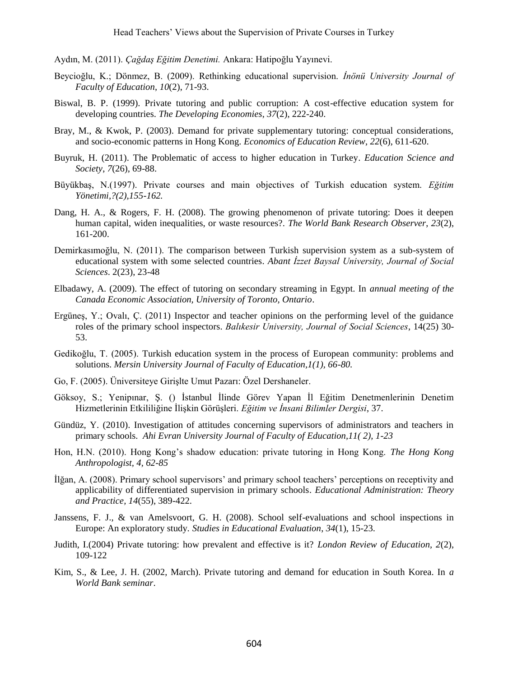Aydın, M. (2011). *Çağdaş Eğitim Denetimi.* Ankara: Hatipoğlu Yayınevi.

- Beycioğlu, K.; Dönmez, B. (2009). Rethinking educational supervision. *İnönü University Journal of Faculty of Education*, *10*(2), 71-93.
- Biswal, B. P. (1999). Private tutoring and public corruption: A cost-effective education system for developing countries. *The Developing Economies*, *37*(2), 222-240.
- Bray, M., & Kwok, P. (2003). Demand for private supplementary tutoring: conceptual considerations, and socio-economic patterns in Hong Kong. *Economics of Education Review*, *22*(6), 611-620.
- Buyruk, H. (2011). The Problematic of access to higher education in Turkey. *Education Science and Society*, *7*(26), 69-88.
- Büyükbaş, N.(1997). Private courses and main objectives of Turkish education system. *Eğitim Yönetimi,?(2),155-162.*
- Dang, H. A., & Rogers, F. H. (2008). The growing phenomenon of private tutoring: Does it deepen human capital, widen inequalities, or waste resources?. *The World Bank Research Observer*, *23*(2), 161-200.
- Demirkasımoğlu, N. (2011). The comparison between Turkish supervision system as a sub-system of educational system with some selected countries. *Abant İzzet Baysal University, Journal of Social Sciences*. 2(23), 23-48
- Elbadawy, A. (2009). The effect of tutoring on secondary streaming in Egypt. In *annual meeting of the Canada Economic Association, University of Toronto, Ontario*.
- Ergüneş, Y.; Ovalı, Ç. (2011) Inspector and teacher opinions on the performing level of the guidance roles of the primary school inspectors. *Balıkesir University, Journal of Social Sciences*, 14(25) 30- 53.
- Gedikoğlu, T. (2005). Turkish education system in the process of European community: problems and solutions. *Mersin University Journal of Faculty of Education,1(1), 66-80.*
- Go, F. (2005). Üniversiteye Girişlte Umut Pazarı: Özel Dershaneler.
- Göksoy, S.; Yenipınar, Ş. () İstanbul İlinde Görev Yapan İl Eğitim Denetmenlerinin Denetim Hizmetlerinin Etkililiğine İlişkin Görüşleri. *Eğitim ve İnsani Bilimler Dergisi*, 37.
- Gündüz, Y. (2010). Investigation of attitudes concerning supervisors of administrators and teachers in primary schools. *Ahi Evran University Journal of Faculty of Education,11( 2), 1-23*
- Hon, H.N. (2010). Hong Kong's shadow education: private tutoring in Hong Kong. *The Hong Kong Anthropologist, 4, 62-85*
- İlğan, A. (2008). Primary school supervisors' and primary school teachers' perceptions on receptivity and applicability of differentiated supervision in primary schools. *Educational Administration: Theory and Practice, 14*(55), 389-422.
- Janssens, F. J., & van Amelsvoort, G. H. (2008). School self-evaluations and school inspections in Europe: An exploratory study. *Studies in Educational Evaluation*, *34*(1), 15-23.
- Judith, I.(2004) Private tutoring: how prevalent and effective is it? *London Review of Education, 2*(2), 109-122
- Kim, S., & Lee, J. H. (2002, March). Private tutoring and demand for education in South Korea. In *a World Bank seminar*.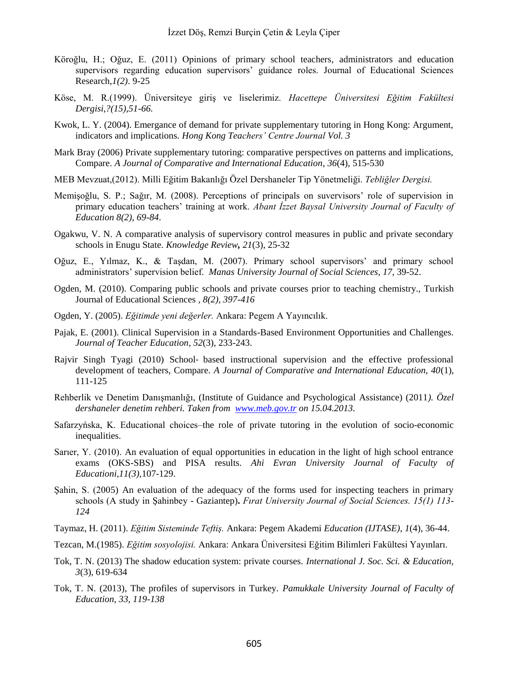- Köroğlu, H.; Oğuz, E. (2011) Opinions of primary school teachers, administrators and education supervisors regarding education supervisors' guidance roles. Journal of Educational Sciences Research,*1(2)*. 9-25
- Köse, M. R.(1999). Üniversiteye giriş ve liselerimiz. *Hacettepe Üniversitesi Eğitim Fakültesi Dergisi,?(15),51-66.*
- Kwok, L. Y. (2004). Emergance of demand for private supplementary tutoring in Hong Kong: Argument, indicators and implications. *Hong Kong Teachers' Centre Journal Vol. 3*
- Mark Bray (2006) Private supplementary tutoring: comparative perspectives on patterns and implications, Compare. *A Journal of Comparative and International Education*, *36*(4), 515-530
- MEB Mevzuat,(2012). Milli Eğitim Bakanlığı Özel Dershaneler Tip Yönetmeliği. *Tebliğler Dergisi.*
- Memişoğlu, S. P.; Sağır, M. (2008). Perceptions of principals on suvervisors' role of supervision in primary education teachers' training at work. *Abant İzzet Baysal University Journal of Faculty of Education 8(2), 69-84*.
- Ogakwu, V. N. A comparative analysis of supervisory control measures in public and private secondary schools in Enugu State. *Knowledge Review, 21*(3), 25-32
- Oğuz, E., Yılmaz, K., & Taşdan, M. (2007). Primary school supervisors' and primary school administrators' supervision belief. *Manas University Journal of Social Sciences*, *17*, 39-52.
- Ogden, M. (2010). Comparing public schools and private courses prior to teaching chemistry., Turkish Journal of Educational Sciences *, 8(2), 397-416*
- Ogden, Y. (2005). *Eğitimde yeni değerler.* Ankara: Pegem A Yayıncılık.
- Pajak, E. (2001). Clinical Supervision in a Standards-Based Environment Opportunities and Challenges. *Journal of Teacher Education*, *52*(3), 233-243.
- Rajvir Singh Tyagi (2010) School‐ based instructional supervision and the effective professional development of teachers, Compare. *A Journal of Comparative and International Education, 40*(1), 111-125
- Rehberlik ve Denetim Danışmanlığı, (Institute of Guidance and Psychological Assistance) (2011*). Özel dershaneler denetim rehberi. Taken from [www.meb.gov.tr](http://www.meb.gov.tr/) on 15.04.2013.*
- Safarzyńska, K. Educational choices–the role of private tutoring in the evolution of socio-economic inequalities.
- Sarıer, Y. (2010). An evaluation of equal opportunities in education in the light of high school entrance exams (OKS-SBS) and PISA results. *Ahi Evran University Journal of Faculty of Educationi,11(3),*107-129.
- Sahin, S. (2005) An evaluation of the adequacy of the forms used for inspecting teachers in primary schools (A study in Şahinbey - Gaziantep)**.** *Fırat University Journal of Social Sciences. 15(1) 113- 124*
- Taymaz, H. (2011). *Eğitim Sisteminde Teftiş.* Ankara: Pegem Akademi *Education (IJTASE)*, *1*(4), 36-44.
- Tezcan, M.(1985). *Eğitim sosyolojisi.* Ankara: Ankara Üniversitesi Eğitim Bilimleri Fakültesi Yayınları.
- Tok, T. N. (2013) The shadow education system: private courses. *International J. Soc. Sci. & Education, 3*(3), 619-634
- Tok, T. N. (2013), The profiles of supervisors in Turkey. *Pamukkale University Journal of Faculty of Education, 33, 119-138*